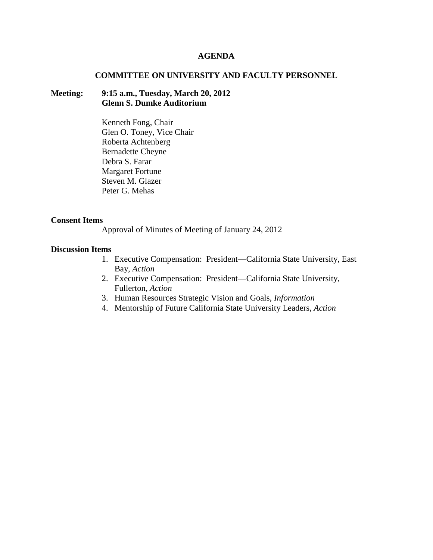#### **AGENDA**

#### **COMMITTEE ON UNIVERSITY AND FACULTY PERSONNEL**

## **Meeting: 9:15 a.m., Tuesday, March 20, 2012 Glenn S. Dumke Auditorium**

Kenneth Fong, Chair Glen O. Toney, Vice Chair Roberta Achtenberg Bernadette Cheyne Debra S. Farar Margaret Fortune Steven M. Glazer Peter G. Mehas

#### **Consent Items**

Approval of Minutes of Meeting of January 24, 2012

#### **Discussion Items**

- 1. Executive Compensation: President—California State University, East Bay, *Action*
- 2. Executive Compensation: President—California State University, Fullerton, *Action*
- 3. Human Resources Strategic Vision and Goals, *Information*
- 4. Mentorship of Future California State University Leaders, *Action*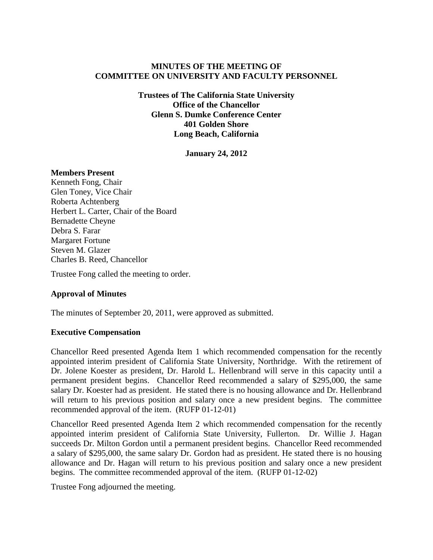# **MINUTES OF THE MEETING OF COMMITTEE ON UNIVERSITY AND FACULTY PERSONNEL**

**Trustees of The California State University Office of the Chancellor Glenn S. Dumke Conference Center 401 Golden Shore Long Beach, California**

**January 24, 2012**

## **Members Present**

Kenneth Fong, Chair Glen Toney, Vice Chair Roberta Achtenberg Herbert L. Carter, Chair of the Board Bernadette Cheyne Debra S. Farar Margaret Fortune Steven M. Glazer Charles B. Reed, Chancellor

Trustee Fong called the meeting to order.

## **Approval of Minutes**

The minutes of September 20, 2011, were approved as submitted.

## **Executive Compensation**

Chancellor Reed presented Agenda Item 1 which recommended compensation for the recently appointed interim president of California State University, Northridge. With the retirement of Dr. Jolene Koester as president, Dr. Harold L. Hellenbrand will serve in this capacity until a permanent president begins. Chancellor Reed recommended a salary of \$295,000, the same salary Dr. Koester had as president. He stated there is no housing allowance and Dr. Hellenbrand will return to his previous position and salary once a new president begins. The committee recommended approval of the item. (RUFP 01-12-01)

Chancellor Reed presented Agenda Item 2 which recommended compensation for the recently appointed interim president of California State University, Fullerton. Dr. Willie J. Hagan succeeds Dr. Milton Gordon until a permanent president begins. Chancellor Reed recommended a salary of \$295,000, the same salary Dr. Gordon had as president. He stated there is no housing allowance and Dr. Hagan will return to his previous position and salary once a new president begins. The committee recommended approval of the item. (RUFP 01-12-02)

Trustee Fong adjourned the meeting.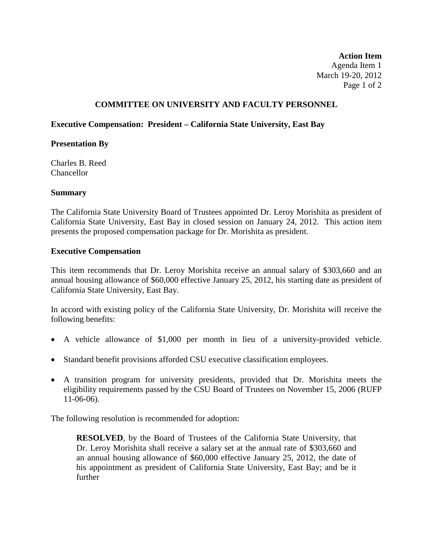**Action Item** Agenda Item 1 March 19-20, 2012 Page 1 of 2

# **COMMITTEE ON UNIVERSITY AND FACULTY PERSONNEL**

## **Executive Compensation: President – California State University, East Bay**

## **Presentation By**

Charles B. Reed Chancellor

## **Summary**

The California State University Board of Trustees appointed Dr. Leroy Morishita as president of California State University, East Bay in closed session on January 24, 2012. This action item presents the proposed compensation package for Dr. Morishita as president.

#### **Executive Compensation**

This item recommends that Dr. Leroy Morishita receive an annual salary of \$303,660 and an annual housing allowance of \$60,000 effective January 25, 2012, his starting date as president of California State University, East Bay.

In accord with existing policy of the California State University, Dr. Morishita will receive the following benefits:

- A vehicle allowance of \$1,000 per month in lieu of a university-provided vehicle.
- Standard benefit provisions afforded CSU executive classification employees.
- A transition program for university presidents, provided that Dr. Morishita meets the eligibility requirements passed by the CSU Board of Trustees on November 15, 2006 (RUFP 11-06-06).

The following resolution is recommended for adoption:

**RESOLVED**, by the Board of Trustees of the California State University, that Dr. Leroy Morishita shall receive a salary set at the annual rate of \$303,660 and an annual housing allowance of \$60,000 effective January 25, 2012, the date of his appointment as president of California State University, East Bay; and be it further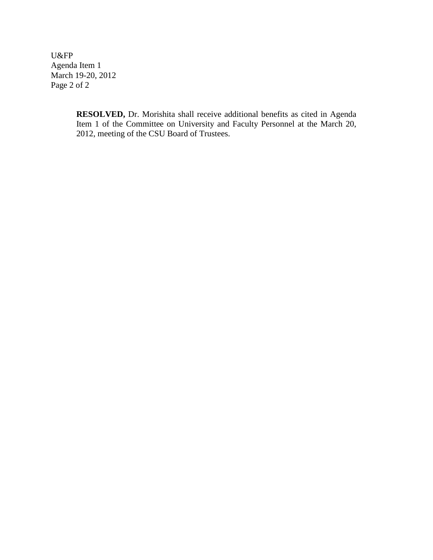U&FP Agenda Item 1 March 19-20, 2012 Page 2 of 2

> **RESOLVED,** Dr. Morishita shall receive additional benefits as cited in Agenda Item 1 of the Committee on University and Faculty Personnel at the March 20, 2012, meeting of the CSU Board of Trustees.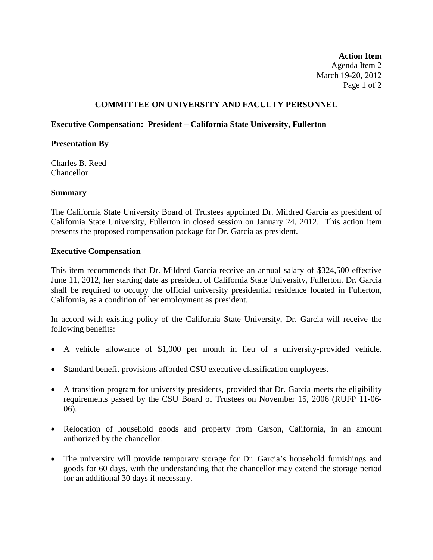**Action Item** Agenda Item 2 March 19-20, 2012 Page 1 of 2

# **COMMITTEE ON UNIVERSITY AND FACULTY PERSONNEL**

## **Executive Compensation: President – California State University, Fullerton**

## **Presentation By**

Charles B. Reed Chancellor

## **Summary**

The California State University Board of Trustees appointed Dr. Mildred Garcia as president of California State University, Fullerton in closed session on January 24, 2012. This action item presents the proposed compensation package for Dr. Garcia as president.

#### **Executive Compensation**

This item recommends that Dr. Mildred Garcia receive an annual salary of \$324,500 effective June 11, 2012, her starting date as president of California State University, Fullerton. Dr. Garcia shall be required to occupy the official university presidential residence located in Fullerton, California, as a condition of her employment as president.

In accord with existing policy of the California State University, Dr. Garcia will receive the following benefits:

- A vehicle allowance of \$1,000 per month in lieu of a university-provided vehicle.
- Standard benefit provisions afforded CSU executive classification employees.
- A transition program for university presidents, provided that Dr. Garcia meets the eligibility requirements passed by the CSU Board of Trustees on November 15, 2006 (RUFP 11-06- 06).
- Relocation of household goods and property from Carson, California, in an amount authorized by the chancellor.
- The university will provide temporary storage for Dr. Garcia's household furnishings and goods for 60 days, with the understanding that the chancellor may extend the storage period for an additional 30 days if necessary.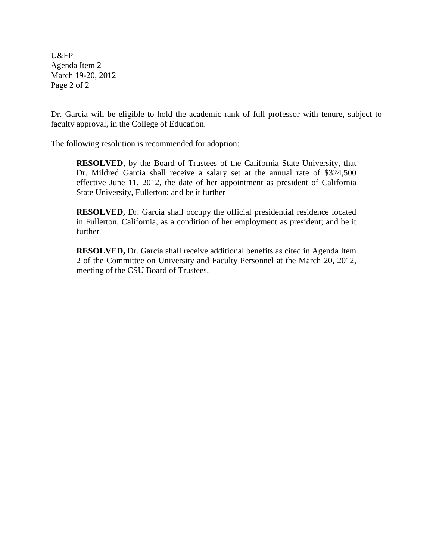U&FP Agenda Item 2 March 19-20, 2012 Page 2 of 2

Dr. Garcia will be eligible to hold the academic rank of full professor with tenure, subject to faculty approval, in the College of Education.

The following resolution is recommended for adoption:

**RESOLVED**, by the Board of Trustees of the California State University, that Dr. Mildred Garcia shall receive a salary set at the annual rate of \$324,500 effective June 11, 2012, the date of her appointment as president of California State University, Fullerton; and be it further

**RESOLVED,** Dr. Garcia shall occupy the official presidential residence located in Fullerton, California, as a condition of her employment as president; and be it further

**RESOLVED,** Dr. Garcia shall receive additional benefits as cited in Agenda Item 2 of the Committee on University and Faculty Personnel at the March 20, 2012, meeting of the CSU Board of Trustees.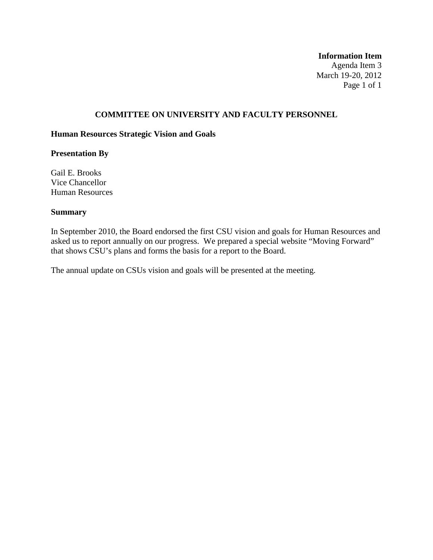#### **Information Item**

Agenda Item 3 March 19-20, 2012 Page 1 of 1

# **COMMITTEE ON UNIVERSITY AND FACULTY PERSONNEL**

#### **Human Resources Strategic Vision and Goals**

# **Presentation By**

Gail E. Brooks Vice Chancellor Human Resources

# **Summary**

In September 2010, the Board endorsed the first CSU vision and goals for Human Resources and asked us to report annually on our progress. We prepared a special website "Moving Forward" that shows CSU's plans and forms the basis for a report to the Board.

The annual update on CSUs vision and goals will be presented at the meeting.